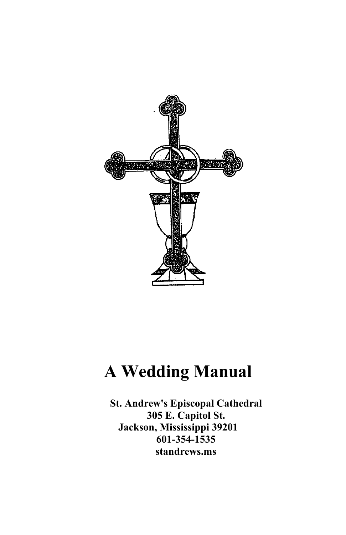

# **A Wedding Manual**

**St. Andrew's Episcopal Cathedral 305 E. Capitol St. Jackson, Mississippi 39201 601-354-1535 standrews.ms**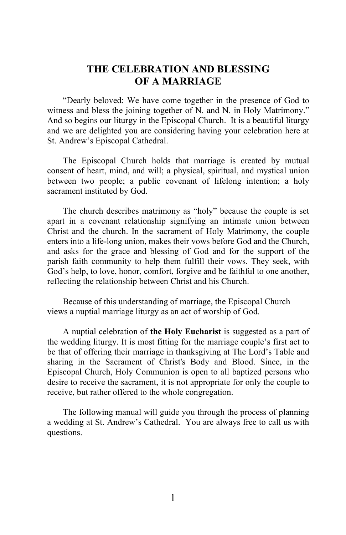## **THE CELEBRATION AND BLESSING OF A MARRIAGE**

"Dearly beloved: We have come together in the presence of God to witness and bless the joining together of N. and N. in Holy Matrimony." And so begins our liturgy in the Episcopal Church. It is a beautiful liturgy and we are delighted you are considering having your celebration here at St. Andrew's Episcopal Cathedral.

The Episcopal Church holds that marriage is created by mutual consent of heart, mind, and will; a physical, spiritual, and mystical union between two people; a public covenant of lifelong intention; a holy sacrament instituted by God.

The church describes matrimony as "holy" because the couple is set apart in a covenant relationship signifying an intimate union between Christ and the church. In the sacrament of Holy Matrimony, the couple enters into a life-long union, makes their vows before God and the Church, and asks for the grace and blessing of God and for the support of the parish faith community to help them fulfill their vows. They seek, with God's help, to love, honor, comfort, forgive and be faithful to one another, reflecting the relationship between Christ and his Church.

Because of this understanding of marriage, the Episcopal Church views a nuptial marriage liturgy as an act of worship of God.

A nuptial celebration of **the Holy Eucharist** is suggested as a part of the wedding liturgy. It is most fitting for the marriage couple's first act to be that of offering their marriage in thanksgiving at The Lord's Table and sharing in the Sacrament of Christ's Body and Blood. Since, in the Episcopal Church, Holy Communion is open to all baptized persons who desire to receive the sacrament, it is not appropriate for only the couple to receive, but rather offered to the whole congregation.

The following manual will guide you through the process of planning a wedding at St. Andrew's Cathedral. You are always free to call us with questions.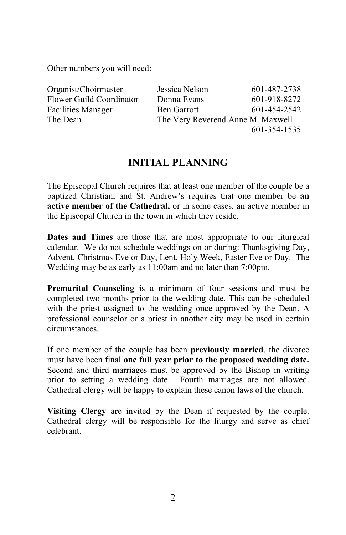Other numbers you will need:

| Organist/Choirmaster      | Jessica Nelson                    | 601-487-2738 |
|---------------------------|-----------------------------------|--------------|
| Flower Guild Coordinator  | Donna Evans                       | 601-918-8272 |
| <b>Facilities Manager</b> | <b>Ben Garrott</b>                | 601-454-2542 |
| The Dean                  | The Very Reverend Anne M. Maxwell |              |
|                           |                                   | 601-354-1535 |

# **INITIAL PLANNING**

The Episcopal Church requires that at least one member of the couple be a baptized Christian, and St. Andrew's requires that one member be **an active member of the Cathedral,** or in some cases, an active member in the Episcopal Church in the town in which they reside.

**Dates and Times** are those that are most appropriate to our liturgical calendar. We do not schedule weddings on or during: Thanksgiving Day, Advent, Christmas Eve or Day, Lent, Holy Week, Easter Eve or Day. The Wedding may be as early as 11:00am and no later than 7:00pm.

**Premarital Counseling** is a minimum of four sessions and must be completed two months prior to the wedding date. This can be scheduled with the priest assigned to the wedding once approved by the Dean. A professional counselor or a priest in another city may be used in certain circumstances.

If one member of the couple has been **previously married**, the divorce must have been final **one full year prior to the proposed wedding date.** Second and third marriages must be approved by the Bishop in writing prior to setting a wedding date. Fourth marriages are not allowed. Cathedral clergy will be happy to explain these canon laws of the church.

**Visiting Clergy** are invited by the Dean if requested by the couple. Cathedral clergy will be responsible for the liturgy and serve as chief celebrant.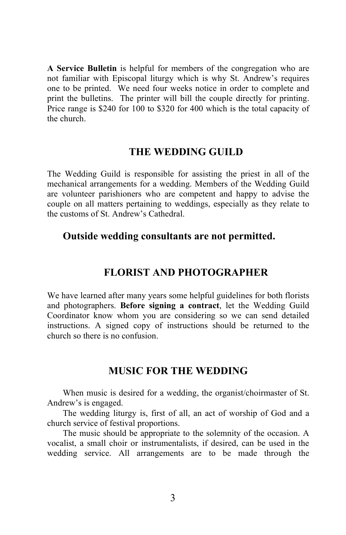**A Service Bulletin** is helpful for members of the congregation who are not familiar with Episcopal liturgy which is why St. Andrew's requires one to be printed. We need four weeks notice in order to complete and print the bulletins. The printer will bill the couple directly for printing. Price range is \$240 for 100 to \$320 for 400 which is the total capacity of the church.

#### **THE WEDDING GUILD**

The Wedding Guild is responsible for assisting the priest in all of the mechanical arrangements for a wedding. Members of the Wedding Guild are volunteer parishioners who are competent and happy to advise the couple on all matters pertaining to weddings, especially as they relate to the customs of St. Andrew's Cathedral.

## **Outside wedding consultants are not permitted.**

#### **FLORIST AND PHOTOGRAPHER**

We have learned after many years some helpful guidelines for both florists and photographers. **Before signing a contract**, let the Wedding Guild Coordinator know whom you are considering so we can send detailed instructions. A signed copy of instructions should be returned to the church so there is no confusion.

## **MUSIC FOR THE WEDDING**

When music is desired for a wedding, the organist/choirmaster of St. Andrew's is engaged.

The wedding liturgy is, first of all, an act of worship of God and a church service of festival proportions.

The music should be appropriate to the solemnity of the occasion. A vocalist, a small choir or instrumentalists, if desired, can be used in the wedding service. All arrangements are to be made through the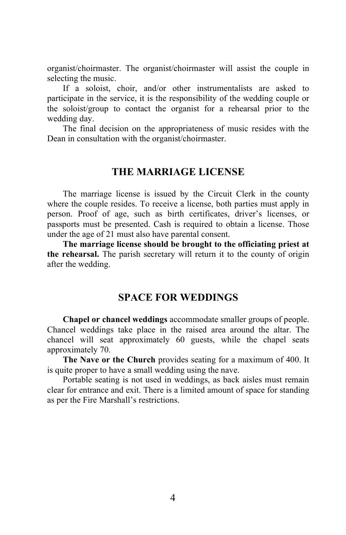organist/choirmaster. The organist/choirmaster will assist the couple in selecting the music.

If a soloist, choir, and/or other instrumentalists are asked to participate in the service, it is the responsibility of the wedding couple or the soloist/group to contact the organist for a rehearsal prior to the wedding day.

The final decision on the appropriateness of music resides with the Dean in consultation with the organist/choirmaster.

## **THE MARRIAGE LICENSE**

The marriage license is issued by the Circuit Clerk in the county where the couple resides. To receive a license, both parties must apply in person. Proof of age, such as birth certificates, driver's licenses, or passports must be presented. Cash is required to obtain a license. Those under the age of 21 must also have parental consent.

**The marriage license should be brought to the officiating priest at the rehearsal.** The parish secretary will return it to the county of origin after the wedding.

## **SPACE FOR WEDDINGS**

**Chapel or chancel weddings** accommodate smaller groups of people. Chancel weddings take place in the raised area around the altar. The chancel will seat approximately 60 guests, while the chapel seats approximately 70.

**The Nave or the Church** provides seating for a maximum of 400. It is quite proper to have a small wedding using the nave.

Portable seating is not used in weddings, as back aisles must remain clear for entrance and exit. There is a limited amount of space for standing as per the Fire Marshall's restrictions.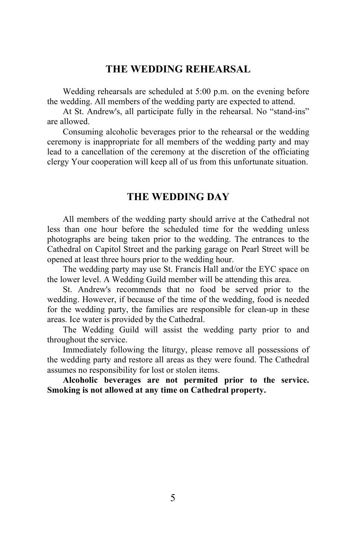## **THE WEDDING REHEARSAL**

Wedding rehearsals are scheduled at 5:00 p.m. on the evening before the wedding. All members of the wedding party are expected to attend.

At St. Andrew's, all participate fully in the rehearsal. No "stand-ins" are allowed.

Consuming alcoholic beverages prior to the rehearsal or the wedding ceremony is inappropriate for all members of the wedding party and may lead to a cancellation of the ceremony at the discretion of the officiating clergy Your cooperation will keep all of us from this unfortunate situation.

#### **THE WEDDING DAY**

All members of the wedding party should arrive at the Cathedral not less than one hour before the scheduled time for the wedding unless photographs are being taken prior to the wedding. The entrances to the Cathedral on Capitol Street and the parking garage on Pearl Street will be opened at least three hours prior to the wedding hour.

The wedding party may use St. Francis Hall and/or the EYC space on the lower level. A Wedding Guild member will be attending this area.

St. Andrew's recommends that no food be served prior to the wedding. However, if because of the time of the wedding, food is needed for the wedding party, the families are responsible for clean-up in these areas. Ice water is provided by the Cathedral.

The Wedding Guild will assist the wedding party prior to and throughout the service.

Immediately following the liturgy, please remove all possessions of the wedding party and restore all areas as they were found. The Cathedral assumes no responsibility for lost or stolen items.

**Alcoholic beverages are not permited prior to the service. Smoking is not allowed at any time on Cathedral property.**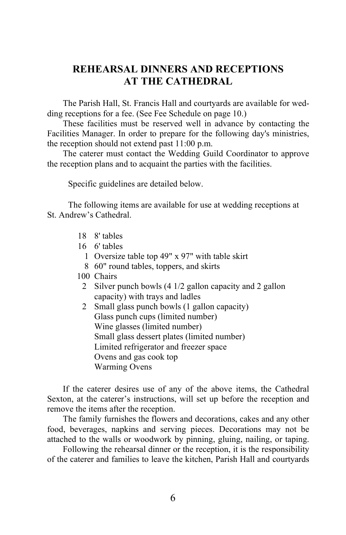## **REHEARSAL DINNERS AND RECEPTIONS AT THE CATHEDRAL**

The Parish Hall, St. Francis Hall and courtyards are available for wedding receptions for a fee. (See Fee Schedule on page 10.)

These facilities must be reserved well in advance by contacting the Facilities Manager. In order to prepare for the following day's ministries, the reception should not extend past 11:00 p.m.

The caterer must contact the Wedding Guild Coordinator to approve the reception plans and to acquaint the parties with the facilities.

Specific guidelines are detailed below.

The following items are available for use at wedding receptions at St. Andrew's Cathedral.

- 18 8' tables
- 16 6' tables
	- 1 Oversize table top 49" x 97" with table skirt
	- 8 60" round tables, toppers, and skirts
- 100 Chairs
	- 2 Silver punch bowls (4 1/2 gallon capacity and 2 gallon capacity) with trays and ladles
	- 2 Small glass punch bowls (1 gallon capacity) Glass punch cups (limited number) Wine glasses (limited number) Small glass dessert plates (limited number) Limited refrigerator and freezer space Ovens and gas cook top Warming Ovens

If the caterer desires use of any of the above items, the Cathedral Sexton, at the caterer's instructions, will set up before the reception and remove the items after the reception.

The family furnishes the flowers and decorations, cakes and any other food, beverages, napkins and serving pieces. Decorations may not be attached to the walls or woodwork by pinning, gluing, nailing, or taping.

Following the rehearsal dinner or the reception, it is the responsibility of the caterer and families to leave the kitchen, Parish Hall and courtyards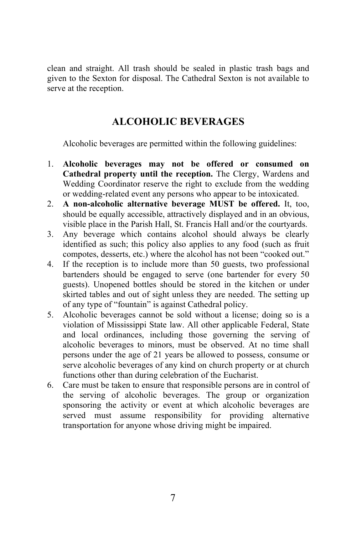clean and straight. All trash should be sealed in plastic trash bags and given to the Sexton for disposal. The Cathedral Sexton is not available to serve at the reception.

# **ALCOHOLIC BEVERAGES**

Alcoholic beverages are permitted within the following guidelines:

- 1. **Alcoholic beverages may not be offered or consumed on Cathedral property until the reception.** The Clergy, Wardens and Wedding Coordinator reserve the right to exclude from the wedding or wedding-related event any persons who appear to be intoxicated.
- 2. **A non-alcoholic alternative beverage MUST be offered.** It, too, should be equally accessible, attractively displayed and in an obvious, visible place in the Parish Hall, St. Francis Hall and/or the courtyards.
- 3. Any beverage which contains alcohol should always be clearly identified as such; this policy also applies to any food (such as fruit compotes, desserts, etc.) where the alcohol has not been "cooked out."
- 4. If the reception is to include more than 50 guests, two professional bartenders should be engaged to serve (one bartender for every 50 guests). Unopened bottles should be stored in the kitchen or under skirted tables and out of sight unless they are needed. The setting up of any type of "fountain" is against Cathedral policy.
- 5. Alcoholic beverages cannot be sold without a license; doing so is a violation of Mississippi State law. All other applicable Federal, State and local ordinances, including those governing the serving of alcoholic beverages to minors, must be observed. At no time shall persons under the age of 21 years be allowed to possess, consume or serve alcoholic beverages of any kind on church property or at church functions other than during celebration of the Eucharist.
- 6. Care must be taken to ensure that responsible persons are in control of the serving of alcoholic beverages. The group or organization sponsoring the activity or event at which alcoholic beverages are served must assume responsibility for providing alternative transportation for anyone whose driving might be impaired.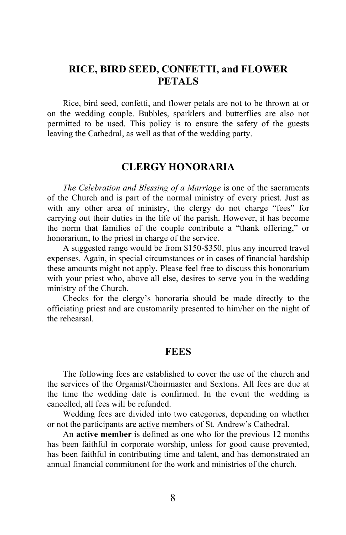## **RICE, BIRD SEED, CONFETTI, and FLOWER PETALS**

Rice, bird seed, confetti, and flower petals are not to be thrown at or on the wedding couple. Bubbles, sparklers and butterflies are also not permitted to be used. This policy is to ensure the safety of the guests leaving the Cathedral, as well as that of the wedding party.

## **CLERGY HONORARIA**

*The Celebration and Blessing of a Marriage* is one of the sacraments of the Church and is part of the normal ministry of every priest. Just as with any other area of ministry, the clergy do not charge "fees" for carrying out their duties in the life of the parish. However, it has become the norm that families of the couple contribute a "thank offering," or honorarium, to the priest in charge of the service.

 A suggested range would be from \$150-\$350, plus any incurred travel expenses. Again, in special circumstances or in cases of financial hardship these amounts might not apply. Please feel free to discuss this honorarium with your priest who, above all else, desires to serve you in the wedding ministry of the Church.

Checks for the clergy's honoraria should be made directly to the officiating priest and are customarily presented to him/her on the night of the rehearsal.

#### **FEES**

The following fees are established to cover the use of the church and the services of the Organist/Choirmaster and Sextons. All fees are due at the time the wedding date is confirmed. In the event the wedding is cancelled, all fees will be refunded.

Wedding fees are divided into two categories, depending on whether or not the participants are active members of St. Andrew's Cathedral.

An **active member** is defined as one who for the previous 12 months has been faithful in corporate worship, unless for good cause prevented, has been faithful in contributing time and talent, and has demonstrated an annual financial commitment for the work and ministries of the church.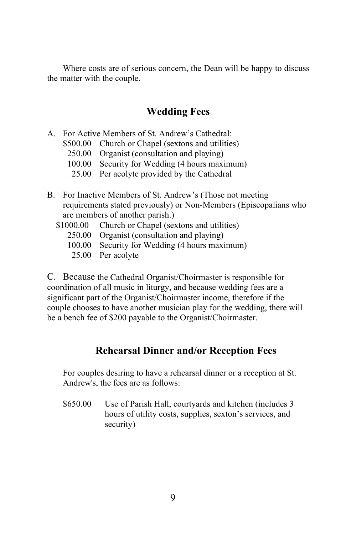Where costs are of serious concern, the Dean will be happy to discuss the matter with the couple.

# **Wedding Fees**

- A. For Active Members of St. Andrew's Cathedral:
	- \$500.00 Church or Chapel (sextons and utilities)
		- 250.00 Organist (consultation and playing)
		- 100.00 Security for Wedding (4 hours maximum)
		- 25.00 Per acolyte provided by the Cathedral
- B. For Inactive Members of St. Andrew's (Those not meeting requirements stated previously) or Non-Members (Episcopalians who are members of another parish.)
	- \$1000.00 Church or Chapel (sextons and utilities)
		- 250.00 Organist (consultation and playing)
		- 100.00 Security for Wedding (4 hours maximum)
		- 25.00 Per acolyte

C. Because the Cathedral Organist/Choirmaster is responsible for coordination of all music in liturgy, and because wedding fees are a significant part of the Organist/Choirmaster income, therefore if the couple chooses to have another musician play for the wedding, there will be a bench fee of \$200 payable to the Organist/Choirmaster.

# **Rehearsal Dinner and/or Reception Fees**

For couples desiring to have a rehearsal dinner or a reception at St. Andrew's, the fees are as follows:

\$650.00 Use of Parish Hall, courtyards and kitchen (includes 3 hours of utility costs, supplies, sexton's services, and security)